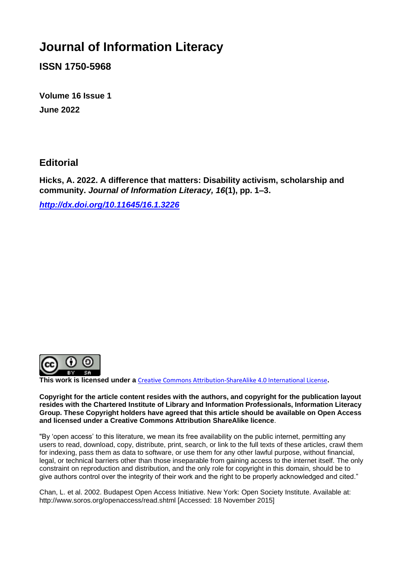## **Journal of Information Literacy**

**ISSN 1750-5968**

**Volume 16 Issue 1 June 2022**

## **Editorial**

**Hicks, A. 2022. A difference that matters: Disability activism, scholarship and community.** *Journal of Information Literacy, 16***(1), pp. 1–3.**

*<http://dx.doi.org/10.11645/16.1.3226>*



**This work is licensed under a** [Creative Commons Attribution-ShareAlike 4.0 International License](http://creativecommons.org/licenses/by-sa/4.0/)**.**

**Copyright for the article content resides with the authors, and copyright for the publication layout resides with the Chartered Institute of Library and Information Professionals, Information Literacy Group. These Copyright holders have agreed that this article should be available on Open Access and licensed under a Creative Commons Attribution ShareAlike licence**.

"By 'open access' to this literature, we mean its free availability on the public internet, permitting any users to read, download, copy, distribute, print, search, or link to the full texts of these articles, crawl them for indexing, pass them as data to software, or use them for any other lawful purpose, without financial, legal, or technical barriers other than those inseparable from gaining access to the internet itself. The only constraint on reproduction and distribution, and the only role for copyright in this domain, should be to give authors control over the integrity of their work and the right to be properly acknowledged and cited."

Chan, L. et al. 2002. Budapest Open Access Initiative. New York: Open Society Institute. Available at: http://www.soros.org/openaccess/read.shtml [Accessed: 18 November 2015]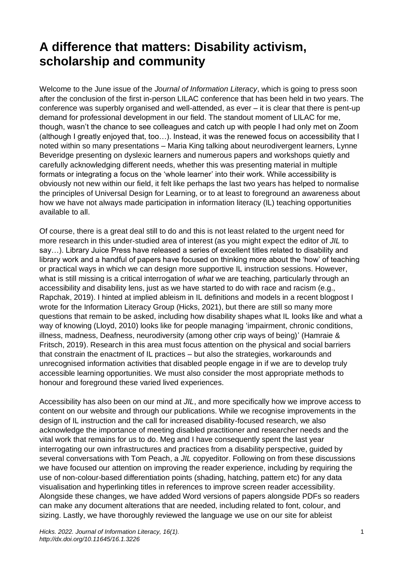## **A difference that matters: Disability activism, scholarship and community**

Welcome to the June issue of the *Journal of Information Literacy*, which is going to press soon after the conclusion of the first in-person LILAC conference that has been held in two years. The conference was superbly organised and well-attended, as ever – it is clear that there is pent-up demand for professional development in our field. The standout moment of LILAC for me, though, wasn't the chance to see colleagues and catch up with people I had only met on Zoom (although I greatly enjoyed that, too…). Instead, it was the renewed focus on accessibility that I noted within so many presentations – Maria King talking about neurodivergent learners, Lynne Beveridge presenting on dyslexic learners and numerous papers and workshops quietly and carefully acknowledging different needs, whether this was presenting material in multiple formats or integrating a focus on the 'whole learner' into their work. While accessibility is obviously not new within our field, it felt like perhaps the last two years has helped to normalise the principles of Universal Design for Learning, or to at least to foreground an awareness about how we have not always made participation in information literacy (IL) teaching opportunities available to all.

Of course, there is a great deal still to do and this is not least related to the urgent need for more research in this under-studied area of interest (as you might expect the editor of *JIL* to say…). Library Juice Press have released a series of excellent titles related to disability and library work and a handful of papers have focused on thinking more about the 'how' of teaching or practical ways in which we can design more supportive IL instruction sessions. However, what is still missing is a critical interrogation of *what* we are teaching, particularly through an accessibility and disability lens, just as we have started to do with race and racism (e.g., Rapchak, 2019). I hinted at implied ableism in IL definitions and models in a recent blogpost I wrote for the Information Literacy Group (Hicks, 2021), but there are still so many more questions that remain to be asked, including how disability shapes what IL looks like and what a way of knowing (Lloyd, 2010) looks like for people managing 'impairment, chronic conditions, illness, madness, Deafness, neurodiversity (among other crip ways of being)' (Hamraie & Fritsch, 2019). Research in this area must focus attention on the physical and social barriers that constrain the enactment of IL practices – but also the strategies, workarounds and unrecognised information activities that disabled people engage in if we are to develop truly accessible learning opportunities. We must also consider the most appropriate methods to honour and foreground these varied lived experiences.

Accessibility has also been on our mind at *JIL*, and more specifically how we improve access to content on our website and through our publications. While we recognise improvements in the design of IL instruction and the call for increased disability-focused research, we also acknowledge the importance of meeting disabled practitioner and researcher needs and the vital work that remains for us to do. Meg and I have consequently spent the last year interrogating our own infrastructures and practices from a disability perspective, guided by several conversations with Tom Peach, a *JIL* copyeditor. Following on from these discussions we have focused our attention on improving the reader experience, including by requiring the use of non-colour-based differentiation points (shading, hatching, pattern etc) for any data visualisation and hyperlinking titles in references to improve screen reader accessibility. Alongside these changes, we have added Word versions of papers alongside PDFs so readers can make any document alterations that are needed, including related to font, colour, and sizing. Lastly, we have thoroughly reviewed the language we use on our site for ableist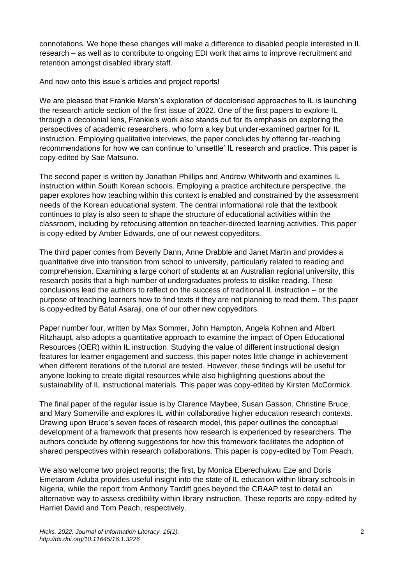connotations. We hope these changes will make a difference to disabled people interested in IL research – as well as to contribute to ongoing EDI work that aims to improve recruitment and retention amongst disabled library staff.

And now onto this issue's articles and project reports!

We are pleased that Frankie Marsh's exploration of decolonised approaches to IL is launching the research article section of the first issue of 2022. One of the first papers to explore IL through a decolonial lens, Frankie's work also stands out for its emphasis on exploring the perspectives of academic researchers, who form a key but under-examined partner for IL instruction. Employing qualitative interviews, the paper concludes by offering far-reaching recommendations for how we can continue to 'unsettle' IL research and practice. This paper is copy-edited by Sae Matsuno.

The second paper is written by Jonathan Phillips and Andrew Whitworth and examines IL instruction within South Korean schools. Employing a practice architecture perspective, the paper explores how teaching within this context is enabled and constrained by the assessment needs of the Korean educational system. The central informational role that the textbook continues to play is also seen to shape the structure of educational activities within the classroom, including by refocusing attention on teacher-directed learning activities. This paper is copy-edited by Amber Edwards, one of our newest copyeditors.

The third paper comes from Beverly Dann, Anne Drabble and Janet Martin and provides a quantitative dive into transition from school to university, particularly related to reading and comprehension. Examining a large cohort of students at an Australian regional university, this research posits that a high number of undergraduates profess to dislike reading. These conclusions lead the authors to reflect on the success of traditional IL instruction – or the purpose of teaching learners how to find texts if they are not planning to read them. This paper is copy-edited by Batul Asaraji, one of our other new copyeditors.

Paper number four, written by Max Sommer, John Hampton, Angela Kohnen and Albert Ritzhaupt, also adopts a quantitative approach to examine the impact of Open Educational Resources (OER) within IL instruction. Studying the value of different instructional design features for learner engagement and success, this paper notes little change in achievement when different iterations of the tutorial are tested. However, these findings will be useful for anyone looking to create digital resources while also highlighting questions about the sustainability of IL instructional materials. This paper was copy-edited by Kirsten McCormick.

The final paper of the regular issue is by Clarence Maybee, Susan Gasson, Christine Bruce, and Mary Somerville and explores IL within collaborative higher education research contexts. Drawing upon Bruce's seven faces of research model, this paper outlines the conceptual development of a framework that presents how research is experienced by researchers. The authors conclude by offering suggestions for how this framework facilitates the adoption of shared perspectives within research collaborations. This paper is copy-edited by Tom Peach.

We also welcome two project reports; the first, by Monica Eberechukwu Eze and Doris Emetarom Aduba provides useful insight into the state of IL education within library schools in Nigeria, while the report from Anthony Tardiff goes beyond the CRAAP test to detail an alternative way to assess credibility within library instruction. These reports are copy-edited by Harriet David and Tom Peach, respectively.